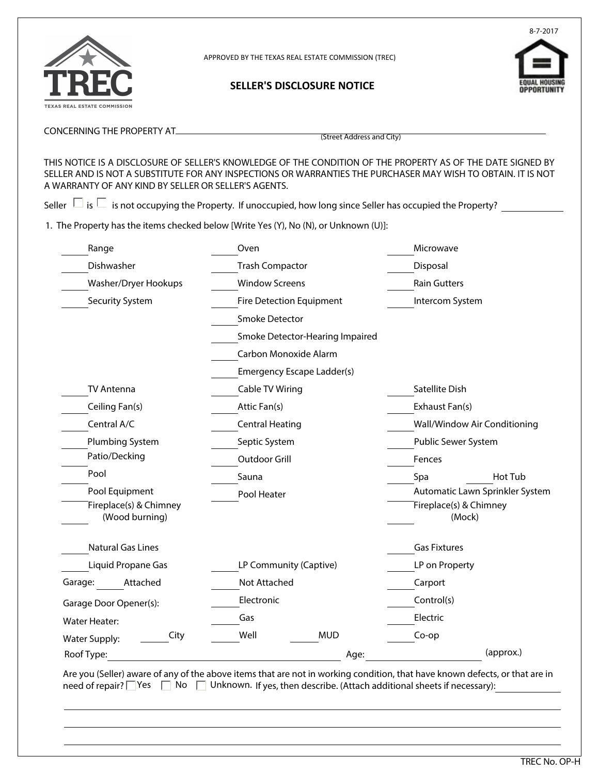

APPROVED BY THE TEXAS REAL ESTATE COMMISSION (TREC)

**SELLER'S DISCLOSURE NOTICE** 



CONCERNING THE PROPERTY AT

(Street Address and City)

THIS NOTICE IS A DISCLOSURE OF SELLER'S KNOWLEDGE OF THE CONDITION OF THE PROPERTY AS OF THE DATE SIGNED BY SELLER AND IS NOT A SUBSTITUTE FOR ANY INSPECTIONS OR WARRANTIES THE PURCHASER MAY WISH TO OBTAIN. IT IS NOT A WARRANTY OF ANY KIND BY SELLER OR SELLER'S AGENTS.

Seller  $\Box$  is  $\Box$  is not occupying the Property. If unoccupied, how long since Seller has occupied the Property? \_\_\_\_\_\_\_\_\_\_\_\_

1. The Property has the items checked below [Write Yes (Y), No (N), or Unknown (U)]:

| Range                                    | Oven                            | Microwave           |                                  |
|------------------------------------------|---------------------------------|---------------------|----------------------------------|
| Dishwasher                               | <b>Trash Compactor</b>          | Disposal            |                                  |
| Washer/Dryer Hookups                     | <b>Window Screens</b>           | <b>Rain Gutters</b> |                                  |
| Security System                          | Fire Detection Equipment        |                     | Intercom System                  |
|                                          | <b>Smoke Detector</b>           |                     |                                  |
|                                          | Smoke Detector-Hearing Impaired |                     |                                  |
|                                          | Carbon Monoxide Alarm           |                     |                                  |
|                                          | Emergency Escape Ladder(s)      |                     |                                  |
| <b>TV Antenna</b>                        | Cable TV Wiring                 | Satellite Dish      |                                  |
| Ceiling Fan(s)                           | Attic Fan(s)                    | Exhaust Fan(s)      |                                  |
| Central A/C                              | <b>Central Heating</b>          |                     | Wall/Window Air Conditioning     |
| Plumbing System                          | Septic System                   |                     | Public Sewer System              |
| Patio/Decking                            | Outdoor Grill                   | Fences              |                                  |
| Pool                                     | Sauna                           | Spa                 | Hot Tub                          |
| Pool Equipment                           | Pool Heater                     |                     | Automatic Lawn Sprinkler System  |
| Fireplace(s) & Chimney<br>(Wood burning) |                                 |                     | Fireplace(s) & Chimney<br>(Mock) |
| <b>Natural Gas Lines</b>                 |                                 | <b>Gas Fixtures</b> |                                  |
| Liquid Propane Gas                       | LP Community (Captive)          | LP on Property      |                                  |
| Garage:<br>Attached                      | Not Attached                    | Carport             |                                  |
|                                          | Electronic                      | Control(s)          |                                  |
| Garage Door Opener(s):                   | Gas                             | Electric            |                                  |
| <b>Water Heater:</b><br>City             | Well<br><b>MUD</b>              | Co-op               |                                  |
| <b>Water Supply:</b>                     |                                 |                     |                                  |
| Roof Type:                               |                                 | Age:                | (approx.)                        |

Are you (Seller) aware of any of the above items that are not in working condition, that have known defects, or that are in need of repair? Yes  $\Box$  No  $\Box$  Unknown. If yes, then describe. (Attach additional sheets if necessary):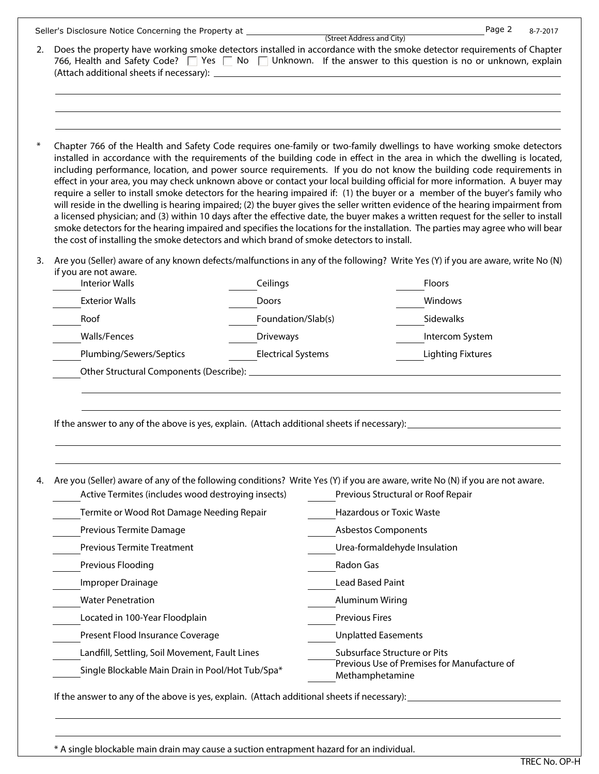| 2.     | Seller's Disclosure Notice Concerning the Property at<br>Does the property have working smoke detectors installed in accordance with the smoke detector requirements of Chapter<br>766, Health and Safety Code? $\Box$ Yes $\Box$ No $\Box$ Unknown. If the answer to this question is no or unknown, explain                                                                                                                                                                                                                                                                                                                                                                                                                                                                                                                                                                                                                                                                                                                                                                                                                                     |                           | (Street Address and City)    | Page 2<br>8-7-2017                          |  |  |  |
|--------|---------------------------------------------------------------------------------------------------------------------------------------------------------------------------------------------------------------------------------------------------------------------------------------------------------------------------------------------------------------------------------------------------------------------------------------------------------------------------------------------------------------------------------------------------------------------------------------------------------------------------------------------------------------------------------------------------------------------------------------------------------------------------------------------------------------------------------------------------------------------------------------------------------------------------------------------------------------------------------------------------------------------------------------------------------------------------------------------------------------------------------------------------|---------------------------|------------------------------|---------------------------------------------|--|--|--|
|        |                                                                                                                                                                                                                                                                                                                                                                                                                                                                                                                                                                                                                                                                                                                                                                                                                                                                                                                                                                                                                                                                                                                                                   |                           |                              |                                             |  |  |  |
| $\ast$ | Chapter 766 of the Health and Safety Code requires one-family or two-family dwellings to have working smoke detectors<br>installed in accordance with the requirements of the building code in effect in the area in which the dwelling is located,<br>including performance, location, and power source requirements. If you do not know the building code requirements in<br>effect in your area, you may check unknown above or contact your local building official for more information. A buyer may<br>require a seller to install smoke detectors for the hearing impaired if: (1) the buyer or a member of the buyer's family who<br>will reside in the dwelling is hearing impaired; (2) the buyer gives the seller written evidence of the hearing impairment from<br>a licensed physician; and (3) within 10 days after the effective date, the buyer makes a written request for the seller to install<br>smoke detectors for the hearing impaired and specifies the locations for the installation. The parties may agree who will bear<br>the cost of installing the smoke detectors and which brand of smoke detectors to install. |                           |                              |                                             |  |  |  |
| 3.     | Are you (Seller) aware of any known defects/malfunctions in any of the following? Write Yes (Y) if you are aware, write No (N)<br>if you are not aware.                                                                                                                                                                                                                                                                                                                                                                                                                                                                                                                                                                                                                                                                                                                                                                                                                                                                                                                                                                                           |                           |                              |                                             |  |  |  |
|        | <b>Interior Walls</b>                                                                                                                                                                                                                                                                                                                                                                                                                                                                                                                                                                                                                                                                                                                                                                                                                                                                                                                                                                                                                                                                                                                             | Ceilings                  |                              | Floors                                      |  |  |  |
|        | <b>Exterior Walls</b>                                                                                                                                                                                                                                                                                                                                                                                                                                                                                                                                                                                                                                                                                                                                                                                                                                                                                                                                                                                                                                                                                                                             | Doors                     |                              | Windows                                     |  |  |  |
|        | Roof                                                                                                                                                                                                                                                                                                                                                                                                                                                                                                                                                                                                                                                                                                                                                                                                                                                                                                                                                                                                                                                                                                                                              | Foundation/Slab(s)        |                              | Sidewalks                                   |  |  |  |
|        | Walls/Fences                                                                                                                                                                                                                                                                                                                                                                                                                                                                                                                                                                                                                                                                                                                                                                                                                                                                                                                                                                                                                                                                                                                                      | <b>Driveways</b>          |                              | Intercom System                             |  |  |  |
|        | Plumbing/Sewers/Septics                                                                                                                                                                                                                                                                                                                                                                                                                                                                                                                                                                                                                                                                                                                                                                                                                                                                                                                                                                                                                                                                                                                           | <b>Electrical Systems</b> |                              | <b>Lighting Fixtures</b>                    |  |  |  |
|        |                                                                                                                                                                                                                                                                                                                                                                                                                                                                                                                                                                                                                                                                                                                                                                                                                                                                                                                                                                                                                                                                                                                                                   |                           |                              |                                             |  |  |  |
|        | If the answer to any of the above is yes, explain. (Attach additional sheets if necessary):                                                                                                                                                                                                                                                                                                                                                                                                                                                                                                                                                                                                                                                                                                                                                                                                                                                                                                                                                                                                                                                       |                           |                              |                                             |  |  |  |
| 4.     | Are you (Seller) aware of any of the following conditions? Write Yes (Y) if you are aware, write No (N) if you are not aware.<br>Active Termites (includes wood destroying insects)<br>Previous Structural or Roof Repair                                                                                                                                                                                                                                                                                                                                                                                                                                                                                                                                                                                                                                                                                                                                                                                                                                                                                                                         |                           |                              |                                             |  |  |  |
|        | Termite or Wood Rot Damage Needing Repair                                                                                                                                                                                                                                                                                                                                                                                                                                                                                                                                                                                                                                                                                                                                                                                                                                                                                                                                                                                                                                                                                                         |                           | Hazardous or Toxic Waste     |                                             |  |  |  |
|        | Previous Termite Damage                                                                                                                                                                                                                                                                                                                                                                                                                                                                                                                                                                                                                                                                                                                                                                                                                                                                                                                                                                                                                                                                                                                           |                           | <b>Asbestos Components</b>   |                                             |  |  |  |
|        | <b>Previous Termite Treatment</b>                                                                                                                                                                                                                                                                                                                                                                                                                                                                                                                                                                                                                                                                                                                                                                                                                                                                                                                                                                                                                                                                                                                 |                           | Urea-formaldehyde Insulation |                                             |  |  |  |
|        | Previous Flooding                                                                                                                                                                                                                                                                                                                                                                                                                                                                                                                                                                                                                                                                                                                                                                                                                                                                                                                                                                                                                                                                                                                                 |                           | Radon Gas                    |                                             |  |  |  |
|        | Improper Drainage                                                                                                                                                                                                                                                                                                                                                                                                                                                                                                                                                                                                                                                                                                                                                                                                                                                                                                                                                                                                                                                                                                                                 |                           | Lead Based Paint             |                                             |  |  |  |
|        | <b>Water Penetration</b>                                                                                                                                                                                                                                                                                                                                                                                                                                                                                                                                                                                                                                                                                                                                                                                                                                                                                                                                                                                                                                                                                                                          |                           | <b>Aluminum Wiring</b>       |                                             |  |  |  |
|        | Located in 100-Year Floodplain                                                                                                                                                                                                                                                                                                                                                                                                                                                                                                                                                                                                                                                                                                                                                                                                                                                                                                                                                                                                                                                                                                                    |                           | <b>Previous Fires</b>        |                                             |  |  |  |
|        | Present Flood Insurance Coverage                                                                                                                                                                                                                                                                                                                                                                                                                                                                                                                                                                                                                                                                                                                                                                                                                                                                                                                                                                                                                                                                                                                  |                           | <b>Unplatted Easements</b>   |                                             |  |  |  |
|        |                                                                                                                                                                                                                                                                                                                                                                                                                                                                                                                                                                                                                                                                                                                                                                                                                                                                                                                                                                                                                                                                                                                                                   |                           |                              |                                             |  |  |  |
|        | Landfill, Settling, Soil Movement, Fault Lines                                                                                                                                                                                                                                                                                                                                                                                                                                                                                                                                                                                                                                                                                                                                                                                                                                                                                                                                                                                                                                                                                                    |                           | Subsurface Structure or Pits | Previous Use of Premises for Manufacture of |  |  |  |

\* A single blockable main drain may cause a suction entrapment hazard for an individual.